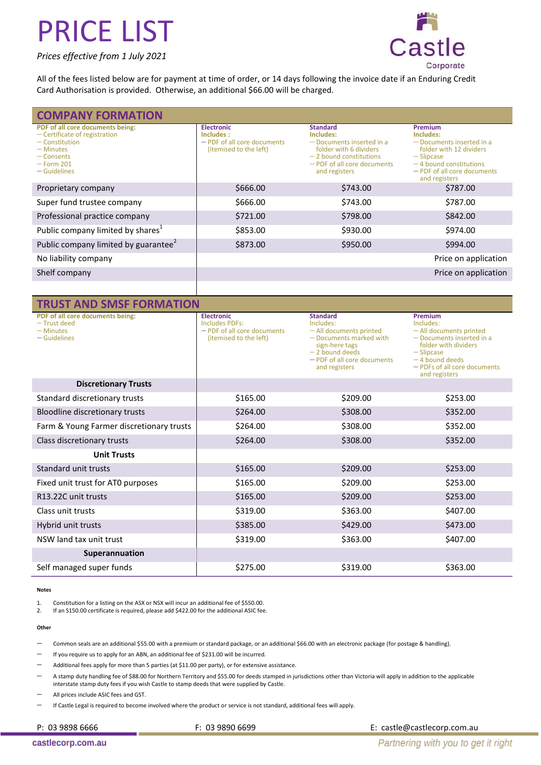#### *Prices effective from 1 July 2021*



All of the fees listed below are for payment at time of order, or 14 days following the invoice date if an Enduring Credit Card Authorisation is provided. Otherwise, an additional \$66.00 will be charged.

| <b>COMPANY FORMATION</b>                                                                                                                               |                                                                                         |                                                                                                                                                                 |                                                                                                                                                                                   |
|--------------------------------------------------------------------------------------------------------------------------------------------------------|-----------------------------------------------------------------------------------------|-----------------------------------------------------------------------------------------------------------------------------------------------------------------|-----------------------------------------------------------------------------------------------------------------------------------------------------------------------------------|
| PDF of all core documents being:<br>$-$ Certificate of registration<br>$-$ Constitution<br>$-$ Minutes<br>– Consents<br>$-$ Form 201<br>$-$ Guidelines | <b>Electronic</b><br>Includes:<br>- PDF of all core documents<br>(itemised to the left) | <b>Standard</b><br>Includes:<br>- Documents inserted in a<br>folder with 6 dividers<br>$-2$ bound constitutions<br>- PDF of all core documents<br>and registers | <b>Premium</b><br>Includes:<br>$-$ Documents inserted in a<br>folder with 12 dividers<br>$-$ Slipcase<br>$-4$ bound constitutions<br>- PDF of all core documents<br>and registers |
| Proprietary company                                                                                                                                    | \$666.00                                                                                | \$743.00                                                                                                                                                        | \$787.00                                                                                                                                                                          |
| Super fund trustee company                                                                                                                             | \$666.00                                                                                | \$743.00                                                                                                                                                        | \$787.00                                                                                                                                                                          |
| Professional practice company                                                                                                                          | \$721.00                                                                                | \$798.00                                                                                                                                                        | \$842.00                                                                                                                                                                          |
| Public company limited by shares <sup>1</sup>                                                                                                          | \$853.00                                                                                | \$930.00                                                                                                                                                        | \$974.00                                                                                                                                                                          |
| Public company limited by guarantee <sup>2</sup>                                                                                                       | \$873.00                                                                                | \$950.00                                                                                                                                                        | \$994.00                                                                                                                                                                          |
| No liability company                                                                                                                                   |                                                                                         |                                                                                                                                                                 | Price on application                                                                                                                                                              |
| Shelf company                                                                                                                                          |                                                                                         |                                                                                                                                                                 | Price on application                                                                                                                                                              |

| <b>TRUST AND SMSF FORMATION</b>                                                   |                                                                                              |                                                                                                                                                                          |                                                                                                                                                                                             |
|-----------------------------------------------------------------------------------|----------------------------------------------------------------------------------------------|--------------------------------------------------------------------------------------------------------------------------------------------------------------------------|---------------------------------------------------------------------------------------------------------------------------------------------------------------------------------------------|
| PDF of all core documents being:<br>- Trust deed<br>$-$ Minutes<br>$-$ Guidelines | <b>Electronic</b><br>Includes PDFs:<br>- PDF of all core documents<br>(itemised to the left) | <b>Standard</b><br>Includes:<br>- All documents printed<br>- Documents marked with<br>sign-here tags<br>$-2$ bound deeds<br>- PDF of all core documents<br>and registers | Premium<br>Includes:<br>- All documents printed<br>$-$ Documents inserted in a<br>folder with dividers<br>$-$ Slipcase<br>$-4$ bound deeds<br>- PDFs of all core documents<br>and registers |
| <b>Discretionary Trusts</b>                                                       |                                                                                              |                                                                                                                                                                          |                                                                                                                                                                                             |
| Standard discretionary trusts                                                     | \$165.00                                                                                     | \$209.00                                                                                                                                                                 | \$253.00                                                                                                                                                                                    |
| Bloodline discretionary trusts                                                    | \$264.00                                                                                     | \$308.00                                                                                                                                                                 | \$352.00                                                                                                                                                                                    |
| Farm & Young Farmer discretionary trusts                                          | \$264.00                                                                                     | \$308.00                                                                                                                                                                 | \$352.00                                                                                                                                                                                    |
| Class discretionary trusts                                                        | \$264.00                                                                                     | \$308.00                                                                                                                                                                 | \$352.00                                                                                                                                                                                    |
| <b>Unit Trusts</b>                                                                |                                                                                              |                                                                                                                                                                          |                                                                                                                                                                                             |
| Standard unit trusts                                                              | \$165.00                                                                                     | \$209.00                                                                                                                                                                 | \$253.00                                                                                                                                                                                    |
| Fixed unit trust for ATO purposes                                                 | \$165.00                                                                                     | \$209.00                                                                                                                                                                 | \$253.00                                                                                                                                                                                    |
| R13.22C unit trusts                                                               | \$165.00                                                                                     | \$209.00                                                                                                                                                                 | \$253.00                                                                                                                                                                                    |
| Class unit trusts                                                                 | \$319.00                                                                                     | \$363.00                                                                                                                                                                 | \$407.00                                                                                                                                                                                    |
| Hybrid unit trusts                                                                | \$385.00                                                                                     | \$429.00                                                                                                                                                                 | \$473.00                                                                                                                                                                                    |
| NSW land tax unit trust                                                           | \$319.00                                                                                     | \$363.00                                                                                                                                                                 | \$407.00                                                                                                                                                                                    |
| Superannuation                                                                    |                                                                                              |                                                                                                                                                                          |                                                                                                                                                                                             |
| Self managed super funds                                                          | \$275.00                                                                                     | \$319.00                                                                                                                                                                 | \$363.00                                                                                                                                                                                    |

#### **Notes**

1. Constitution for a listing on the ASX or NSX will incur an additional fee of \$550.00.

2. If an S150.00 certificate is required, please add \$422.00 for the additional ASIC fee.

#### **Other**

Common seals are an additional \$55.00 with a premium or standard package, or an additional \$66.00 with an electronic package (for postage & handling).

If you require us to apply for an ABN, an additional fee of \$231.00 will be incurred.

Additional fees apply for more than 5 parties (at \$11.00 per party), or for extensive assistance.

 A stamp duty handling fee of \$88.00 for Northern Territory and \$55.00 for deeds stamped in jurisdictions other than Victoria will apply in addition to the applicable interstate stamp duty fees if you wish Castle to stamp deeds that were supplied by Castle.

All prices include ASIC fees and GST.

If Castle Legal is required to become involved where the product or service is not standard, additional fees will apply.

P: 03 9898 6666 F: 03 9890 6699 F: 03 9890 6699 F: castle@castlecorp.com.au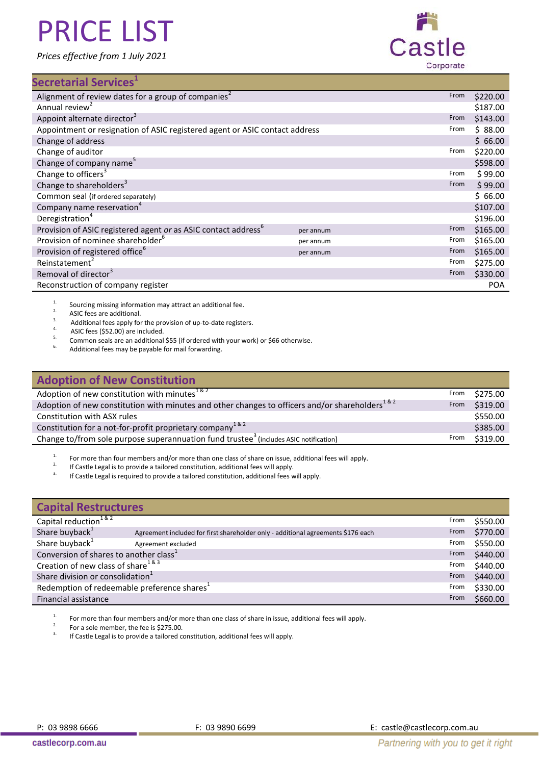*Prices effective from 1 July 2021*



## **Secretarial Services<sup>1</sup>**

| Alignment of review dates for a group of companies <sup>2</sup>             |           | From | \$220.00   |
|-----------------------------------------------------------------------------|-----------|------|------------|
| Annual review <sup>2</sup>                                                  |           |      | \$187.00   |
| Appoint alternate director <sup>3</sup>                                     |           | From | \$143.00   |
| Appointment or resignation of ASIC registered agent or ASIC contact address |           | From | \$88.00    |
| Change of address                                                           |           |      | \$66.00    |
| Change of auditor                                                           |           | From | \$220.00   |
| Change of company name <sup>5</sup>                                         |           |      | \$598.00   |
| Change to officers <sup>3</sup>                                             |           | From | \$99.00    |
| Change to shareholders <sup>3</sup>                                         |           | From | \$99.00    |
| Common seal (if ordered separately)                                         |           |      | \$66.00    |
| Company name reservation <sup>4</sup>                                       |           |      | \$107.00   |
| Deregistration <sup>4</sup>                                                 |           |      | \$196.00   |
| Provision of ASIC registered agent or as ASIC contact address <sup>6</sup>  | per annum | From | \$165.00   |
| Provision of nominee shareholder <sup>6</sup>                               | per annum | From | \$165.00   |
| Provision of registered office <sup>6</sup>                                 | per annum | From | \$165.00   |
| Reinstatement <sup>2</sup>                                                  |           | From | \$275.00   |
| Removal of director <sup>3</sup>                                            |           | From | \$330.00   |
| Reconstruction of company register                                          |           |      | <b>POA</b> |
|                                                                             |           |      |            |

<sup>1.</sup> Sourcing missing information may attract an additional fee.<br><sup>2.</sup> ASIC fees are additional

<sup>2.</sup> ASIC fees are additional.

<sup>3.</sup> Additional fees apply for the provision of up-to-date registers.

<sup>4.</sup> ASIC fees (\$52.00) are included.

<sup>5.</sup> Common seals are an additional \$55 (if ordered with your work) or \$66 otherwise.

Additional fees may be payable for mail forwarding.

| <b>Adoption of New Constitution</b>                                                                              |      |          |
|------------------------------------------------------------------------------------------------------------------|------|----------|
| Adoption of new constitution with minutes $182$                                                                  | From | \$275.00 |
| Adoption of new constitution with minutes and other changes to officers and/or shareholders <sup>1 &amp; 2</sup> | From | \$319.00 |
| Constitution with ASX rules                                                                                      |      | \$550.00 |
| Constitution for a not-for-profit proprietary company <sup>1&amp;2</sup>                                         |      | \$385.00 |
| Change to/from sole purpose superannuation fund trustee <sup>3</sup> (includes ASIC notification)                | From | \$319.00 |

<sup>1.</sup> For more than four members and/or more than one class of share on issue, additional fees will apply.

<sup>2.</sup> If Castle Legal is to provide a tailored constitution, additional fees will apply.

If Castle Legal is required to provide a tailored constitution, additional fees will apply.

| <b>Capital Restructures</b>                                |                                                                                  |      |          |
|------------------------------------------------------------|----------------------------------------------------------------------------------|------|----------|
| Capital reduction <sup>1&amp;2</sup>                       |                                                                                  | From | \$550.00 |
| Share buyback <sup>1</sup>                                 | Agreement included for first shareholder only - additional agreements \$176 each | From | \$770.00 |
| Share buyback <sup>1</sup>                                 | Agreement excluded                                                               | From | \$550.00 |
| Conversion of shares to another class <sup>1</sup><br>From |                                                                                  |      | \$440.00 |
| Creation of new class of share <sup>1&amp;3</sup><br>From  |                                                                                  |      | \$440.00 |
| Share division or consolidation <sup>1</sup><br>From       |                                                                                  |      | \$440.00 |
| Redemption of redeemable preference shares <sup>1</sup>    |                                                                                  | From | \$330.00 |
| Financial assistance<br>From                               |                                                                                  |      | \$660.00 |

<sup>1.</sup> For more than four members and/or more than one class of share in issue, additional fees will apply.

<sup>2.</sup> For a sole member, the fee is \$275.00.

If Castle Legal is to provide a tailored constitution, additional fees will apply.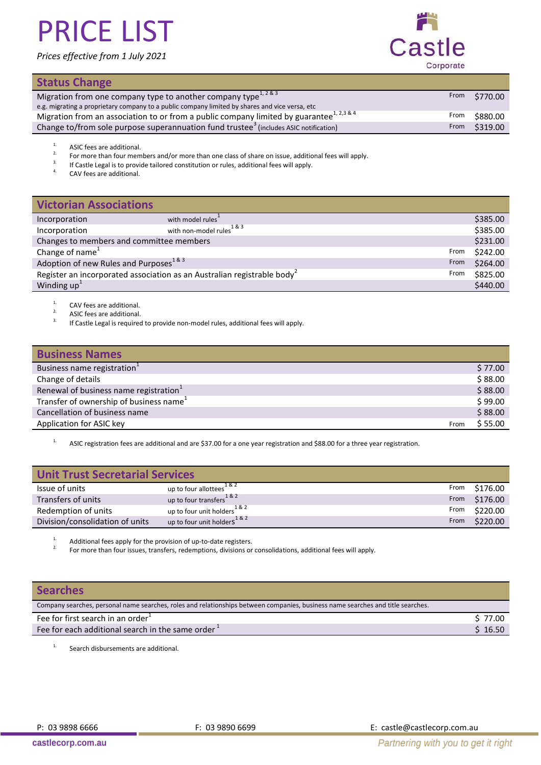### *Prices effective from 1 July 2021*



### **Status Change**

| <b>ULALUS CHANGE</b>                                                                                     |      |          |
|----------------------------------------------------------------------------------------------------------|------|----------|
| Migration from one company type to another company type <sup>1,2&amp;3</sup>                             | From | \$770.00 |
| e.g. migrating a proprietary company to a public company limited by shares and vice versa, etc           |      |          |
| Migration from an association to or from a public company limited by guarantee <sup>1, 2,3 &amp; 4</sup> | From | \$880.00 |
| Change to/from sole purpose superannuation fund trustee <sup>3</sup> (includes ASIC notification)        | From | \$319.00 |

<sup>&</sup>lt;sup>1.</sup> ASIC fees are additional.

<sup>2.</sup> For more than four members and/or more than one class of share on issue, additional fees will apply.<br><sup>3.</sup> If Castle Legal is to provide tailored constitution or rules, additional fees will apply.

<sup>3.</sup> If Castle Legal is to provide tailored constitution or rules, additional fees will apply.

CAV fees are additional.

| <b>Victorian Associations</b>                                                               |                                                       |  |          |
|---------------------------------------------------------------------------------------------|-------------------------------------------------------|--|----------|
| Incorporation                                                                               | with model rules                                      |  | \$385.00 |
| Incorporation                                                                               | with non-model rules <sup><math>1&amp;83</math></sup> |  | \$385.00 |
| Changes to members and committee members                                                    |                                                       |  | \$231.00 |
| Change of name <sup>1</sup><br>From                                                         |                                                       |  | \$242.00 |
| Adoption of new Rules and Purposes <sup>1&amp;3</sup><br>From                               |                                                       |  | \$264.00 |
| Register an incorporated association as an Australian registrable body <sup>2</sup><br>From |                                                       |  | \$825.00 |
| Winding $up1$                                                                               |                                                       |  | \$440.00 |

<sup>1.</sup> CAV fees are additional.

<sup>2.</sup> ASIC fees are additional.

If Castle Legal is required to provide non-model rules, additional fees will apply.

| <b>Business Names</b>                               |      |         |
|-----------------------------------------------------|------|---------|
| Business name registration                          |      | \$77.00 |
| Change of details                                   |      | \$88.00 |
| Renewal of business name registration <sup>1</sup>  |      | \$88.00 |
| Transfer of ownership of business name <sup>1</sup> |      | \$99.00 |
| Cancellation of business name                       |      | \$88.00 |
| Application for ASIC key                            | From | \$55.00 |

<sup>1.</sup> ASIC registration fees are additional and are \$37.00 for a one year registration and \$88.00 for a three year registration.

| <b>Unit Trust Secretarial Services</b> |                                            |      |          |
|----------------------------------------|--------------------------------------------|------|----------|
| Issue of units                         | up to four allottees <sup>1&amp;2</sup>    | From | \$176.00 |
| Transfers of units                     | up to four transfers <sup>1&amp;2</sup>    | From | \$176.00 |
| Redemption of units                    | up to four unit holders <sup>1&amp;2</sup> | From | \$220.00 |
| Division/consolidation of units        | up to four unit holders <sup>1&amp;2</sup> | From | \$220.00 |

<sup>1.</sup> Additional fees apply for the provision of up-to-date registers.

2. For more than four issues, transfers, redemptions, divisions or consolidations, additional fees will apply.

### **Searches**

| S 77.00 |
|---------|
| \$16.50 |
|         |

<sup>1.</sup> Search disbursements are additional.